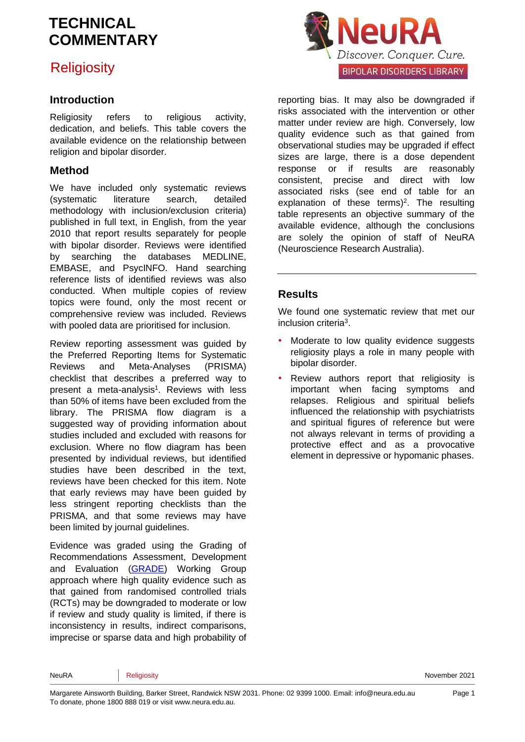## **Religiosity**

### **Introduction**

Religiosity refers to religious activity, dedication, and beliefs. This table covers the available evidence on the relationship between religion and bipolar disorder.

### **Method**

We have included only systematic reviews (systematic literature search, detailed methodology with inclusion/exclusion criteria) published in full text, in English, from the year 2010 that report results separately for people with bipolar disorder. Reviews were identified by searching the databases MEDLINE, EMBASE, and PsycINFO. Hand searching reference lists of identified reviews was also conducted. When multiple copies of review topics were found, only the most recent or comprehensive review was included. Reviews with pooled data are prioritised for inclusion.

Review reporting assessment was guided by the Preferred Reporting Items for Systematic Reviews and Meta-Analyses (PRISMA) checklist that describes a preferred way to pre[s](#page-4-0)ent a meta-analysis<sup>1</sup>. Reviews with less than 50% of items have been excluded from the library. The PRISMA flow diagram is a suggested way of providing information about studies included and excluded with reasons for exclusion. Where no flow diagram has been presented by individual reviews, but identified studies have been described in the text, reviews have been checked for this item. Note that early reviews may have been guided by less stringent reporting checklists than the PRISMA, and that some reviews may have been limited by journal guidelines.

Evidence was graded using the Grading of Recommendations Assessment, Development and Evaluation [\(GRADE\)](http://www.gradeworkinggroup.org/) Working Group approach where high quality evidence such as that gained from randomised controlled trials (RCTs) may be downgraded to moderate or low if review and study quality is limited, if there is inconsistency in results, indirect comparisons, imprecise or sparse data and high probability of



reporting bias. It may also be downgraded if risks associated with the intervention or other matter under review are high. Conversely, low quality evidence such as that gained from observational studies may be upgraded if effect sizes are large, there is a dose dependent response or if results are reasonably consistent, precise and direct with low associated risks (see end of table for an explanation of these terms[\)](#page-4-1)<sup>2</sup>. The resulting table represents an objective summary of the available evidence, although the conclusions are solely the opinion of staff of NeuRA (Neuroscience Research Australia).

### **Results**

We found one systematic review that met our inclusion criteri[a](#page-4-2)<sup>3</sup> .

- Moderate to low quality evidence suggests religiosity plays a role in many people with bipolar disorder.
- Review authors report that religiosity is important when facing symptoms and relapses. Religious and spiritual beliefs influenced the relationship with psychiatrists and spiritual figures of reference but were not always relevant in terms of providing a protective effect and as a provocative element in depressive or hypomanic phases.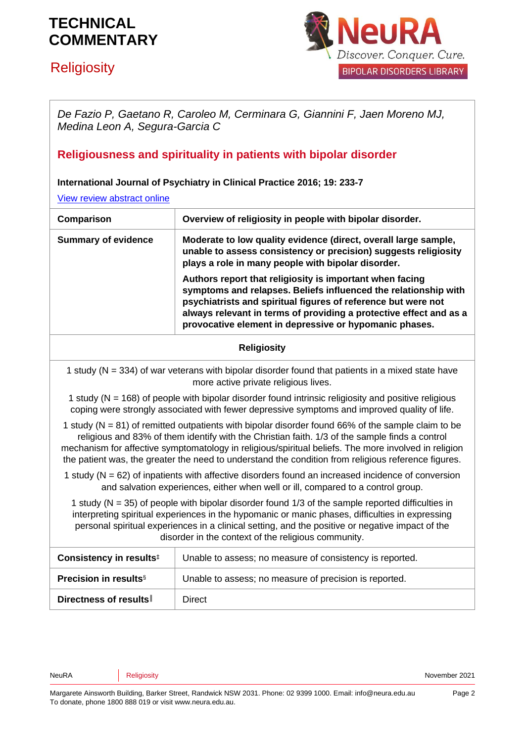# **Religiosity**



*De Fazio P, Gaetano R, Caroleo M, Cerminara G, Giannini F, Jaen Moreno MJ, Medina Leon A, Segura-Garcia C*

## **Religiousness and spirituality in patients with bipolar disorder**

#### **International Journal of Psychiatry in Clinical Practice 2016; 19: 233-7**

[View review abstract online](https://www.ncbi.nlm.nih.gov/pubmed/25547439)

| Comparison                 | Overview of religiosity in people with bipolar disorder.                                                                                                                                                                                                                                                                     |
|----------------------------|------------------------------------------------------------------------------------------------------------------------------------------------------------------------------------------------------------------------------------------------------------------------------------------------------------------------------|
| <b>Summary of evidence</b> | Moderate to low quality evidence (direct, overall large sample,<br>unable to assess consistency or precision) suggests religiosity<br>plays a role in many people with bipolar disorder.                                                                                                                                     |
|                            | Authors report that religiosity is important when facing<br>symptoms and relapses. Beliefs influenced the relationship with<br>psychiatrists and spiritual figures of reference but were not<br>always relevant in terms of providing a protective effect and as a<br>provocative element in depressive or hypomanic phases. |

#### **Religiosity**

1 study (N = 334) of war veterans with bipolar disorder found that patients in a mixed state have more active private religious lives.

1 study (N = 168) of people with bipolar disorder found intrinsic religiosity and positive religious coping were strongly associated with fewer depressive symptoms and improved quality of life.

1 study ( $N = 81$ ) of remitted outpatients with bipolar disorder found 66% of the sample claim to be religious and 83% of them identify with the Christian faith. 1/3 of the sample finds a control mechanism for affective symptomatology in religious/spiritual beliefs. The more involved in religion the patient was, the greater the need to understand the condition from religious reference figures.

1 study ( $N = 62$ ) of inpatients with affective disorders found an increased incidence of conversion and salvation experiences, either when well or ill, compared to a control group.

1 study (N = 35) of people with bipolar disorder found 1/3 of the sample reported difficulties in interpreting spiritual experiences in the hypomanic or manic phases, difficulties in expressing personal spiritual experiences in a clinical setting, and the positive or negative impact of the disorder in the context of the religious community.

| Consistency in results <sup>‡</sup>      | Unable to assess; no measure of consistency is reported. |
|------------------------------------------|----------------------------------------------------------|
| <b>Precision in results</b> <sup>§</sup> | Unable to assess; no measure of precision is reported.   |
| Directness of results                    | Direct                                                   |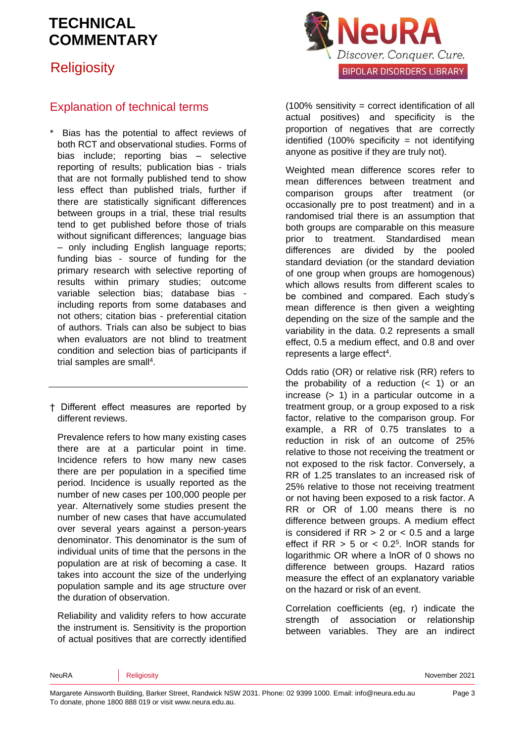## **Religiosity**



Bias has the potential to affect reviews of both RCT and observational studies. Forms of bias include; reporting bias – selective reporting of results; publication bias - trials that are not formally published tend to show less effect than published trials, further if there are statistically significant differences between groups in a trial, these trial results tend to get published before those of trials without significant differences; language bias – only including English language reports; funding bias - source of funding for the primary research with selective reporting of results within primary studies; outcome variable selection bias; database bias including reports from some databases and not others; citation bias - preferential citation of authors. Trials can also be subject to bias when evaluators are not blind to treatment condition and selection bias of participants if trial samples are sma[ll](#page-4-3)<sup>4</sup>.

† Different effect measures are reported by different reviews.

Prevalence refers to how many existing cases there are at a particular point in time. Incidence refers to how many new cases there are per population in a specified time period. Incidence is usually reported as the number of new cases per 100,000 people per year. Alternatively some studies present the number of new cases that have accumulated over several years against a person-years denominator. This denominator is the sum of individual units of time that the persons in the population are at risk of becoming a case. It takes into account the size of the underlying population sample and its age structure over the duration of observation.

Reliability and validity refers to how accurate the instrument is. Sensitivity is the proportion of actual positives that are correctly identified



 $(100\%$  sensitivity = correct identification of all actual positives) and specificity is the proportion of negatives that are correctly identified (100% specificity = not identifying anyone as positive if they are truly not).

Weighted mean difference scores refer to mean differences between treatment and comparison groups after treatment (or occasionally pre to post treatment) and in a randomised trial there is an assumption that both groups are comparable on this measure prior to treatment. Standardised mean differences are divided by the pooled standard deviation (or the standard deviation of one group when groups are homogenous) which allows results from different scales to be combined and compared. Each study's mean difference is then given a weighting depending on the size of the sample and the variability in the data. 0.2 represents a small effect, 0.5 a medium effect, and 0.8 and over represents a large effect<sup>[4](#page-4-3)</sup>.

Odds ratio (OR) or relative risk (RR) refers to the probability of a reduction  $( $1$ )$  or an increase (> 1) in a particular outcome in a treatment group, or a group exposed to a risk factor, relative to the comparison group. For example, a RR of 0.75 translates to a reduction in risk of an outcome of 25% relative to those not receiving the treatment or not exposed to the risk factor. Conversely, a RR of 1.25 translates to an increased risk of 25% relative to those not receiving treatment or not having been exposed to a risk factor. A RR or OR of 1.00 means there is no difference between groups. A medium effect is considered if  $RR > 2$  or  $< 0.5$  and a large effect if  $RR > 5$  or  $< 0.2<sup>5</sup>$  $< 0.2<sup>5</sup>$  $< 0.2<sup>5</sup>$ . InOR stands for logarithmic OR where a lnOR of 0 shows no difference between groups. Hazard ratios measure the effect of an explanatory variable on the hazard or risk of an event.

Correlation coefficients (eg, r) indicate the strength of association or relationship between variables. They are an indirect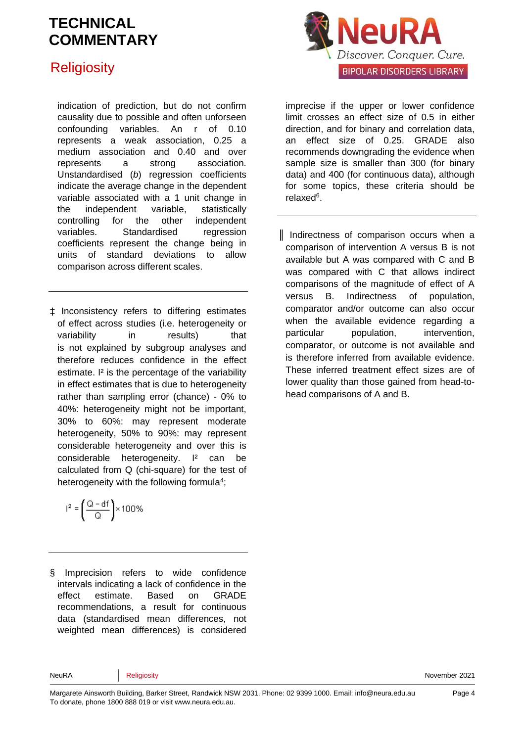## **Religiosity**

indication of prediction, but do not confirm causality due to possible and often unforseen confounding variables. An r of 0.10 represents a weak association, 0.25 a medium association and 0.40 and over represents a strong association. Unstandardised (*b*) regression coefficients indicate the average change in the dependent variable associated with a 1 unit change in the independent variable, statistically controlling for the other independent variables. Standardised regression coefficients represent the change being in units of standard deviations to allow comparison across different scales.

‡ Inconsistency refers to differing estimates of effect across studies (i.e. heterogeneity or variability in results) that is not explained by subgroup analyses and therefore reduces confidence in the effect estimate. <sup>[2]</sup> is the percentage of the variability in effect estimates that is due to heterogeneity rather than sampling error (chance) - 0% to 40%: heterogeneity might not be important, 30% to 60%: may represent moderate heterogeneity, 50% to 90%: may represent considerable heterogeneity and over this is considerable heterogeneity. I² can be calculated from Q (chi-square) for the test of heterogeneity with the following formul[a](#page-4-3)<sup>4</sup>;

$$
l^2=\left(\frac{Q-df}{Q}\right)\times 100\%
$$

§ Imprecision refers to wide confidence intervals indicating a lack of confidence in the effect estimate. Based on GRADE recommendations, a result for continuous data (standardised mean differences, not weighted mean differences) is considered



imprecise if the upper or lower confidence limit crosses an effect size of 0.5 in either direction, and for binary and correlation data, an effect size of 0.25. GRADE also recommends downgrading the evidence when sample size is smaller than 300 (for binary data) and 400 (for continuous data), although for some topics, these criteria should be relaxe[d](#page-4-5)<sup>6</sup>.

║ Indirectness of comparison occurs when a comparison of intervention A versus B is not available but A was compared with C and B was compared with C that allows indirect comparisons of the magnitude of effect of A versus B. Indirectness of population, comparator and/or outcome can also occur when the available evidence regarding a particular population, intervention, comparator, or outcome is not available and is therefore inferred from available evidence. These inferred treatment effect sizes are of lower quality than those gained from head-tohead comparisons of A and B.